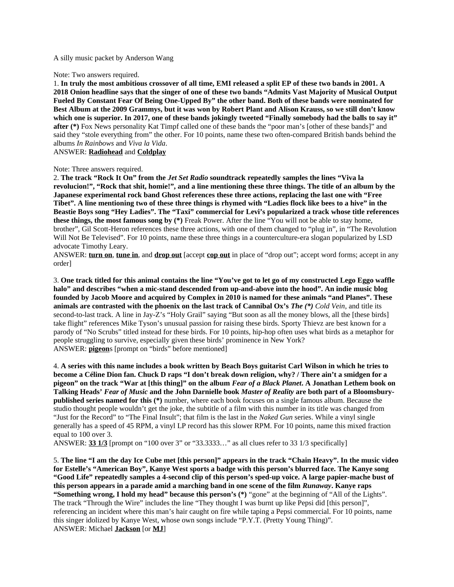### A silly music packet by Anderson Wang

### Note: Two answers required.

1. **In truly the most ambitious crossover of all time, EMI released a split EP of these two bands in 2001. A 2018 Onion headline says that the singer of one of these two bands "Admits Vast Majority of Musical Output Fueled By Constant Fear Of Being One-Upped By" the other band. Both of these bands were nominated for Best Album at the 2009 Grammys, but it was won by Robert Plant and Alison Krauss, so we still don't know which one is superior. In 2017, one of these bands jokingly tweeted "Finally somebody had the balls to say it" after (\*)** Fox News personality Kat Timpf called one of these bands the "poor man's [other of these bands]" and said they "stole everything from" the other. For 10 points, name these two often-compared British bands behind the albums *In Rainbows* and *Viva la Vida*.

ANSWER: **Radiohead** and **Coldplay**

### Note: Three answers required.

2. **The track "Rock It On" from the** *Jet Set Radio* **soundtrack repeatedly samples the lines "Viva la revolucion!", "Rock that shit, homie!", and a line mentioning these three things. The title of an album by the Japanese experimental rock band Ghost references these three actions, replacing the last one with "Free Tibet". A line mentioning two of these three things is rhymed with "Ladies flock like bees to a hive" in the Beastie Boys song "Hey Ladies". The "Taxi" commercial for Levi's popularized a track whose title references these things, the most famous song by (\*)** Freak Power. After the line "You will not be able to stay home, brother", Gil Scott-Heron references these three actions, with one of them changed to "plug in", in "The Revolution Will Not Be Televised". For 10 points, name these three things in a counterculture-era slogan popularized by LSD advocate Timothy Leary.

ANSWER: **turn on**, **tune in**, and **drop out** [accept **cop out** in place of "drop out"; accept word forms; accept in any order]

3. **One track titled for this animal contains the line "You've got to let go of my constructed Lego Eggo waffle halo" and describes "when a mic-stand descended from up-and-above into the hood". An indie music blog founded by Jacob Moore and acquired by Complex in 2010 is named for these animals "and Planes". These animals are contrasted with the phoenix on the last track of Cannibal Ox's** *The (\*) Cold Vein*, and title its second-to-last track. A line in Jay-Z's "Holy Grail" saying "But soon as all the money blows, all the [these birds] take flight" references Mike Tyson's unusual passion for raising these birds. Sporty Thievz are best known for a parody of "No Scrubs" titled instead for these birds. For 10 points, hip-hop often uses what birds as a metaphor for people struggling to survive, especially given these birds' prominence in New York? ANSWER: **pigeon**s [prompt on "birds" before mentioned]

4. **A series with this name includes a book written by Beach Boys guitarist Carl Wilson in which he tries to become a Céline Dion fan. Chuck D raps "I don't break down religion, why? / There ain't a smidgen for a pigeon" on the track "War at [this thing]" on the album** *Fear of a Black Planet***. A Jonathan Lethem book on Talking Heads'** *Fear of Music* **and the John Darnielle book** *Master of Reality* **are both part of a Bloomsburypublished series named for this (\*)** number, where each book focuses on a single famous album. Because the studio thought people wouldn't get the joke, the subtitle of a film with this number in its title was changed from "Just for the Record" to "The Final Insult"; that film is the last in the *Naked Gun* series. While a vinyl single generally has a speed of 45 RPM, a vinyl LP record has this slower RPM. For 10 points, name this mixed fraction equal to 100 over 3.

ANSWER: **33 1/3** [prompt on "100 over 3" or "33.3333…" as all clues refer to 33 1/3 specifically]

5. **The line "I am the day Ice Cube met [this person]" appears in the track "Chain Heavy". In the music video for Estelle's "American Boy", Kanye West sports a badge with this person's blurred face. The Kanye song "Good Life" repeatedly samples a 4-second clip of this person's sped-up voice. A large papier-mache bust of this person appears in a parade amid a marching band in one scene of the film** *Runaway***. Kanye raps "Something wrong, I hold my head" because this person's (\*)** "gone" at the beginning of "All of the Lights". The track "Through the Wire" includes the line "They thought I was burnt up like Pepsi did [this person]", referencing an incident where this man's hair caught on fire while taping a Pepsi commercial. For 10 points, name this singer idolized by Kanye West, whose own songs include "P.Y.T. (Pretty Young Thing)". ANSWER: Michael **Jackson** [or **MJ**]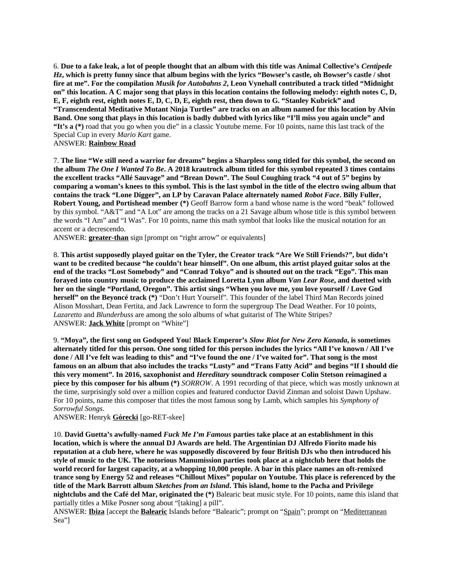6. **Due to a fake leak, a lot of people thought that an album with this title was Animal Collective's** *Centipede Hz***, which is pretty funny since that album begins with the lyrics "Bowser's castle, oh Bowser's castle / shot fire at me". For the compilation** *Musik for Autobahns 2***, Leon Vynehall contributed a track titled "Midnight on" this location. A C major song that plays in this location contains the following melody: eighth notes C, D, E, F, eighth rest, eighth notes E, D, C, D, E, eighth rest, then down to G. "Stanley Kubrick" and "Transcendental Meditative Mutant Ninja Turtles" are tracks on an album named for this location by Alvin Band. One song that plays in this location is badly dubbed with lyrics like "I'll miss you again uncle" and "It's a (\*)** road that you go when you die" in a classic Youtube meme. For 10 points, name this last track of the Special Cup in every *Mario Kart* game.

ANSWER: **Rainbow Road**

7. **The line "We still need a warrior for dreams" begins a Sharpless song titled for this symbol, the second on the album** *The One I Wanted To Be***. A 2018 krautrock album titled for this symbol repeated 3 times contains the excellent tracks "Allé Sauvage" and "Brean Down". The Soul Coughing track "4 out of 5" begins by comparing a woman's knees to this symbol. This is the last symbol in the title of the electro swing album that contains the track "Lone Digger", an LP by Caravan Palace alternately named** *Robot Face***. Billy Fuller, Robert Young, and Portishead member (\*)** Geoff Barrow form a band whose name is the word "beak" followed by this symbol. "A&T" and "A Lot" are among the tracks on a 21 Savage album whose title is this symbol between the words "I Am" and "I Was". For 10 points, name this math symbol that looks like the musical notation for an accent or a decrescendo.

ANSWER: **greater-than** sign [prompt on "right arrow" or equivalents]

8. **This artist supposedly played guitar on the Tyler, the Creator track "Are We Still Friends?", but didn't want to be credited because "he couldn't hear himself". On one album, this artist played guitar solos at the end of the tracks "Lost Somebody" and "Conrad Tokyo" and is shouted out on the track "Ego". This man forayed into country music to produce the acclaimed Loretta Lynn album** *Van Lear Rose***, and duetted with her on the single "Portland, Oregon". This artist sings "When you love me, you love yourself / Love God herself" on the Beyoncé track (\*)** "Don't Hurt Yourself". This founder of the label Third Man Records joined Alison Mosshart, Dean Fertita, and Jack Lawrence to form the supergroup The Dead Weather. For 10 points, *Lazaretto* and *Blunderbuss* are among the solo albums of what guitarist of The White Stripes? ANSWER: **Jack White** [prompt on "White"]

9. **"Moya", the first song on Godspeed You! Black Emperor's** *Slow Riot for New Zero Kanada***, is sometimes alternately titled for this person. One song titled for this person includes the lyrics "All I've known / All I've done / All I've felt was leading to this" and "I've found the one / I've waited for". That song is the most famous on an album that also includes the tracks "Lusty" and "Trans Fatty Acid" and begins "If I should die this very moment". In 2016, saxophonist and** *Hereditary* **soundtrack composer Colin Stetson reimagined a piece by this composer for his album (\*)** *SORROW*. A 1991 recording of that piece, which was mostly unknown at the time, surprisingly sold over a million copies and featured conductor David Zinman and soloist Dawn Upshaw. For 10 points, name this composer that titles the most famous song by Lamb, which samples his *Symphony of Sorrowful Songs*.

ANSWER: Henryk **Górecki** [go-RET-skee]

10. **David Guetta's awfully-named** *Fuck Me I'm Famous* **parties take place at an establishment in this location, which is where the annual DJ Awards are held. The Argentinian DJ Alfredo Fiorito made his reputation at a club here, where he was supposedly discovered by four British DJs who then introduced his style of music to the UK. The notorious Manumission parties took place at a nightclub here that holds the world record for largest capacity, at a whopping 10,000 people. A bar in this place names an oft-remixed trance song by Energy 52 and releases "Chillout Mixes" popular on Youtube. This place is referenced by the title of the Mark Barrott album** *Sketches from an Island***. This island, home to the Pacha and Privilege nightclubs and the Café del Mar, originated the (\*)** Balearic beat music style. For 10 points, name this island that partially titles a Mike Posner song about "[taking] a pill".

ANSWER: **Ibiza** [accept the **Balearic** Islands before "Balearic"; prompt on "Spain"; prompt on "Mediterranean Sea"]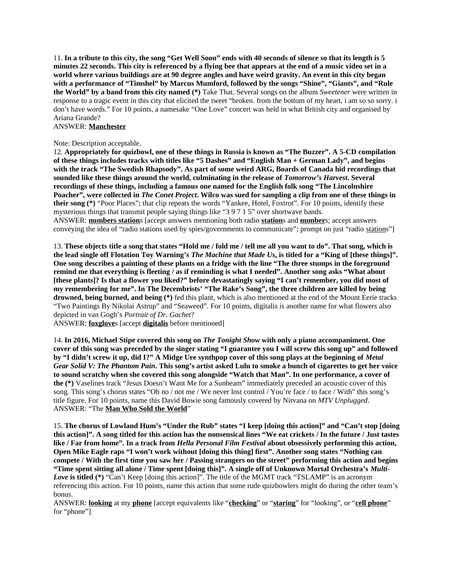11. **In a tribute to this city, the song "Get Well Soon" ends with 40 seconds of silence so that its length is 5 minutes 22 seconds. This city is referenced by a flying bee that appears at the end of a music video set in a world where various buildings are at 90 degree angles and have weird gravity. An event in this city began with a performance of "Timshel" by Marcus Mumford, followed by the songs "Shine", "Giants", and "Rule the World" by a band from this city named (\*)** Take That. Several songs on the album *Sweetener* were written in response to a tragic event in this city that elicited the tweet "broken. from the bottom of my heart, i am so so sorry. i don't have words." For 10 points, a namesake "One Love" concert was held in what British city and organised by Ariana Grande?

# ANSWER: **Manchester**

## Note: Description acceptable.

12. **Appropriately for quizbowl, one of these things in Russia is known as "The Buzzer". A 5-CD compilation of these things includes tracks with titles like "5 Dashes" and "English Man + German Lady", and begins with the track "The Swedish Rhapsody". As part of some weird ARG, Boards of Canada hid recordings that sounded like these things around the world, culminating in the release of** *Tomorrow's Harvest***. Several recordings of these things, including a famous one named for the English folk song "The Lincolnshire Poacher", were collected in** *The Conet Project***. Wilco was sued for sampling a clip from one of these things in their song (\*)** "Poor Places"; that clip repeats the words "Yankee, Hotel, Foxtrot". For 10 points, identify these mysterious things that transmit people saying things like "3 9 7 1 5" over shortwave bands. ANSWER: **numbers station**s [accept answers mentioning both radio **station**s and **number**s; accept answers conveying the idea of "radio stations used by spies/governments to communicate"; prompt on just "radio stations"]

13. **These objects title a song that states "Hold me / fold me / tell me all you want to do". That song, which is the lead single off Flotation Toy Warning's** *The Machine that Made Us***, is titled for a "King of [these things]". One song describes a painting of these plants on a fridge with the line "The three stumps in the foreground remind me that everything is fleeting / as if reminding is what I needed". Another song asks "What about [these plants]? Is that a flower you liked?" before devastatingly saying "I can't remember, you did most of my remembering for me". In The Decembrists' "The Rake's Song", the three children are killed by being drowned, being burned, and being (\*)** fed this plant, which is also mentioned at the end of the Mount Eerie tracks "Two Paintings By Nikolai Astrup" and "Seaweed". For 10 points, digitalis is another name for what flowers also depicted in van Gogh's *Portrait of Dr. Gachet*?

ANSWER: **foxglove**s [accept **digitalis** before mentioned]

14. **In 2016, Michael Stipe covered this song on** *The Tonight Show* **with only a piano accompaniment. One cover of this song was preceded by the singer stating "I guarantee you I will screw this song up" and followed by "I didn't screw it up, did I?" A Midge Ure synthpop cover of this song plays at the beginning of** *Metal Gear Solid V: The Phantom Pain***. This song's artist asked Lulu to smoke a bunch of cigarettes to get her voice to sound scratchy when she covered this song alongside "Watch that Man". In one performance, a cover of the (\*)** Vaselines track "Jesus Doesn't Want Me for a Sunbeam" immediately preceded an acoustic cover of this song. This song's chorus states "Oh no / not me / We never lost control / You're face / to face / With" this song's title figure. For 10 points, name this David Bowie song famously covered by Nirvana on *MTV Unplugged*. ANSWER: "The **Man Who Sold the World**"

15. **The chorus of Lowland Hum's "Under the Rub" states "I keep [doing this action]" and "Can't stop [doing this action]". A song titled for this action has the nonsensical lines "We eat crickets / In the future / Just tastes like / Far from home". In a track from** *Hella Personal Film Festival* **about obsessively performing this action, Open Mike Eagle raps "I won't work without [doing this thing] first". Another song states "Nothing can compete / With the first time you saw her / Passing strangers on the street" performing this action and begins "Time spent sitting all alone / Time spent [doing this]". A single off of Unknown Mortal Orchestra's** *Multi-Love* **is titled (\*)** "Can't Keep [doing this action]". The title of the MGMT track "TSLAMP" is an acronym referencing this action. For 10 points, name this action that some rude quizbowlers might do during the other team's bonus.

ANSWER: **looking** at my **phone** [accept equivalents like "**checking**" or "**staring**" for "looking", or "**cell phone**" for "phone"]